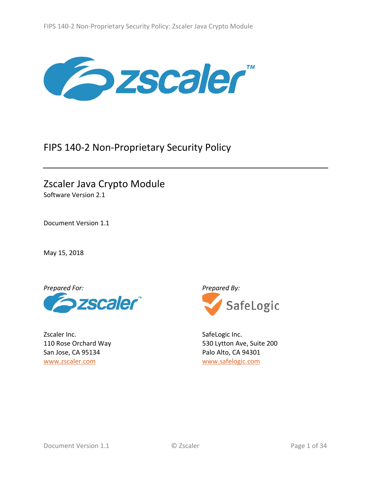

# FIPS 140-2 Non-Proprietary Security Policy

# Zscaler Java Crypto Module Software Version 2.1

Document Version 1.1

May 15, 2018



Zscaler Inc. 110 Rose Orchard Way San Jose, CA 95134 [www.zscaler.com](http://www.zscaler.com/)



SafeLogic Inc. 530 Lytton Ave, Suite 200 Palo Alto, CA 94301 [www.safelogic.com](https://www.safelogic.com/)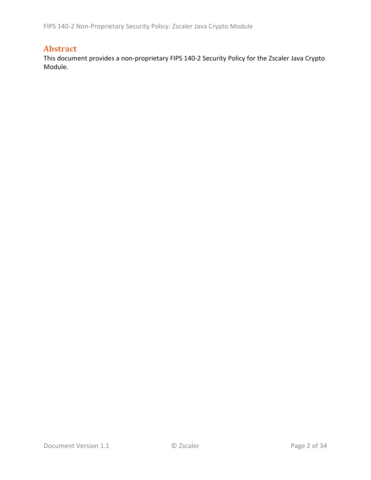# **Abstract**

This document provides a non-proprietary FIPS 140-2 Security Policy for the Zscaler Java Crypto Module.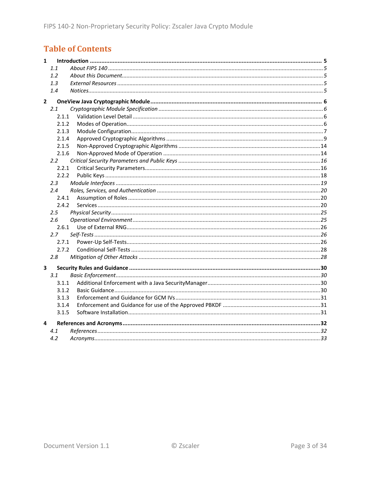# **Table of Contents**

| $\mathbf{1}$            |       |  |
|-------------------------|-------|--|
|                         | 1.1   |  |
|                         | 1.2   |  |
|                         | 1.3   |  |
|                         | 1.4   |  |
| $\overline{2}$          |       |  |
|                         | 2.1   |  |
|                         | 2.1.1 |  |
|                         | 2.1.2 |  |
|                         | 2.1.3 |  |
|                         | 2.1.4 |  |
|                         | 2.1.5 |  |
|                         | 2.1.6 |  |
|                         | 2.2   |  |
|                         | 2.2.1 |  |
|                         | 2.2.2 |  |
|                         | 2.3   |  |
|                         | 2.4   |  |
|                         | 2.4.1 |  |
|                         | 2.4.2 |  |
|                         | 2.5   |  |
|                         | 2.6   |  |
|                         | 2.6.1 |  |
|                         | 2.7   |  |
|                         | 2.7.1 |  |
|                         | 2.7.2 |  |
|                         | 2.8   |  |
| $\overline{\mathbf{3}}$ |       |  |
|                         | 3.1   |  |
|                         | 3.1.1 |  |
|                         | 3.1.2 |  |
|                         | 3.1.3 |  |
|                         | 3.1.4 |  |
|                         | 3.1.5 |  |
| 4                       |       |  |
|                         | 4.1   |  |
|                         | 4.2   |  |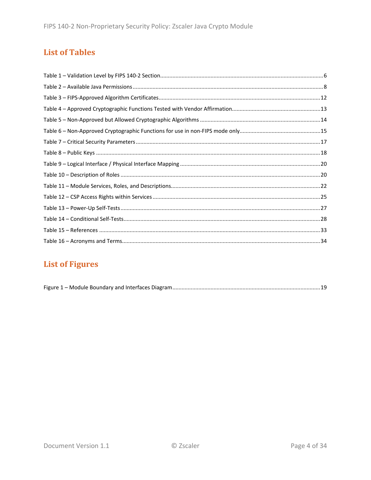# **List of Tables**

# **List of Figures**

|--|--|--|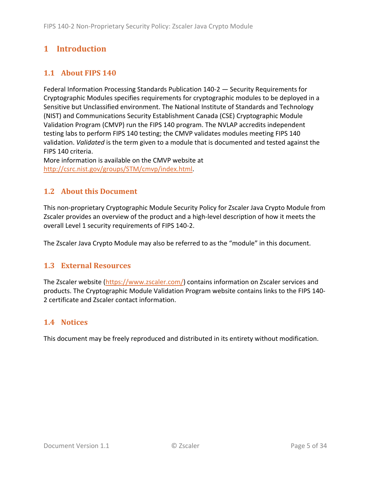# <span id="page-4-0"></span>**1 Introduction**

# <span id="page-4-1"></span>**1.1 About FIPS 140**

Federal Information Processing Standards Publication 140-2 — Security Requirements for Cryptographic Modules specifies requirements for cryptographic modules to be deployed in a Sensitive but Unclassified environment. The National Institute of Standards and Technology (NIST) and Communications Security Establishment Canada (CSE) Cryptographic Module Validation Program (CMVP) run the FIPS 140 program. The NVLAP accredits independent testing labs to perform FIPS 140 testing; the CMVP validates modules meeting FIPS 140 validation. *Validated* is the term given to a module that is documented and tested against the FIPS 140 criteria.

More information is available on the CMVP website at [http://csrc.nist.gov/groups/STM/cmvp/index.html.](http://csrc.nist.gov/groups/STM/cmvp/index.html)

## <span id="page-4-2"></span>**1.2 About this Document**

This non-proprietary Cryptographic Module Security Policy for Zscaler Java Crypto Module from Zscaler provides an overview of the product and a high-level description of how it meets the overall Level 1 security requirements of FIPS 140-2.

<span id="page-4-3"></span>The Zscaler Java Crypto Module may also be referred to as the "module" in this document.

### **1.3 External Resources**

The Zscaler website [\(https://www.zscaler.com/\)](https://www.zscaler.com/) contains information on Zscaler services and products. The Cryptographic Module Validation Program website contains links to the FIPS 140- 2 certificate and Zscaler contact information.

### <span id="page-4-4"></span>**1.4 Notices**

This document may be freely reproduced and distributed in its entirety without modification.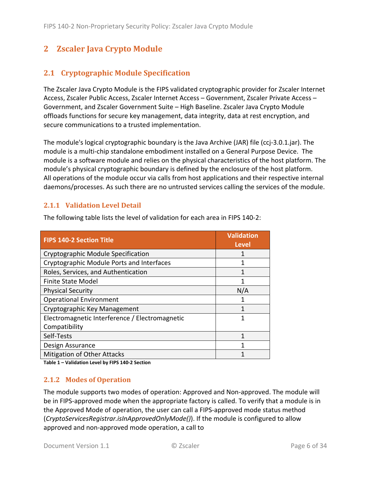# <span id="page-5-0"></span>**2 Zscaler Java Crypto Module**

# <span id="page-5-1"></span>**2.1 Cryptographic Module Specification**

The Zscaler Java Crypto Module is the FIPS validated cryptographic provider for Zscaler Internet Access, Zscaler Public Access, Zscaler Internet Access – Government, Zscaler Private Access – Government, and Zscaler Government Suite – High Baseline. Zscaler Java Crypto Module offloads functions for secure key management, data integrity, data at rest encryption, and secure communications to a trusted implementation.

The module's logical cryptographic boundary is the Java Archive (JAR) file (ccj-3.0.1.jar). The module is a multi-chip standalone embodiment installed on a General Purpose Device. The module is a software module and relies on the physical characteristics of the host platform. The module's physical cryptographic boundary is defined by the enclosure of the host platform. All operations of the module occur via calls from host applications and their respective internal daemons/processes. As such there are no untrusted services calling the services of the module.

#### <span id="page-5-2"></span>**2.1.1 Validation Level Detail**

| <b>FIPS 140-2 Section Title</b>                | <b>Validation</b><br><b>Level</b> |
|------------------------------------------------|-----------------------------------|
| Cryptographic Module Specification             |                                   |
| Cryptographic Module Ports and Interfaces      |                                   |
| Roles, Services, and Authentication            |                                   |
| <b>Finite State Model</b>                      |                                   |
| <b>Physical Security</b>                       | N/A                               |
| <b>Operational Environment</b>                 |                                   |
| Cryptographic Key Management                   |                                   |
| Electromagnetic Interference / Electromagnetic | 1                                 |
| Compatibility                                  |                                   |
| Self-Tests                                     | 1                                 |
| Design Assurance                               | 1                                 |
| <b>Mitigation of Other Attacks</b>             |                                   |

The following table lists the level of validation for each area in FIPS 140-2:

<span id="page-5-3"></span>**Table 1 – Validation Level by FIPS 140-2 Section**

#### **2.1.2 Modes of Operation**

The module supports two modes of operation: Approved and Non-approved. The module will be in FIPS-approved mode when the appropriate factory is called. To verify that a module is in the Approved Mode of operation, the user can call a FIPS-approved mode status method (*CryptoServicesRegistrar.isInApprovedOnlyMode()*). If the module is configured to allow approved and non-approved mode operation, a call to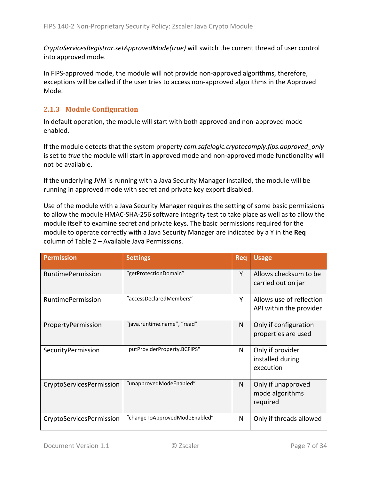*CryptoServicesRegistrar.setApprovedMode(true)* will switch the current thread of user control into approved mode.

In FIPS-approved mode, the module will not provide non-approved algorithms, therefore, exceptions will be called if the user tries to access non-approved algorithms in the Approved Mode.

### <span id="page-6-0"></span>**2.1.3 Module Configuration**

In default operation, the module will start with both approved and non-approved mode enabled.

If the module detects that the system property *com.safelogic.cryptocomply.fips.approved\_only*  is set to *true* the module will start in approved mode and non-approved mode functionality will not be available.

If the underlying JVM is running with a Java Security Manager installed, the module will be running in approved mode with secret and private key export disabled.

Use of the module with a Java Security Manager requires the setting of some basic permissions to allow the module HMAC-SHA-256 software integrity test to take place as well as to allow the module itself to examine secret and private keys. The basic permissions required for the module to operate correctly with a Java Security Manager are indicated by a Y in the **Req** column of Table 2 – [Available Java Permissions.](#page-7-0)

| <b>Permission</b>        | <b>Settings</b>               | <b>Req</b> | <b>Usage</b>                                        |
|--------------------------|-------------------------------|------------|-----------------------------------------------------|
| <b>RuntimePermission</b> | "getProtectionDomain"         | Y          | Allows checksum to be<br>carried out on jar         |
| <b>RuntimePermission</b> | "accessDeclaredMembers"       | Υ          | Allows use of reflection<br>API within the provider |
| PropertyPermission       | "java.runtime.name", "read"   | N          | Only if configuration<br>properties are used        |
| SecurityPermission       | "putProviderProperty.BCFIPS"  | N          | Only if provider<br>installed during<br>execution   |
| CryptoServicesPermission | "unapprovedModeEnabled"       | N          | Only if unapproved<br>mode algorithms<br>required   |
| CryptoServicesPermission | "changeToApprovedModeEnabled" | N          | Only if threads allowed                             |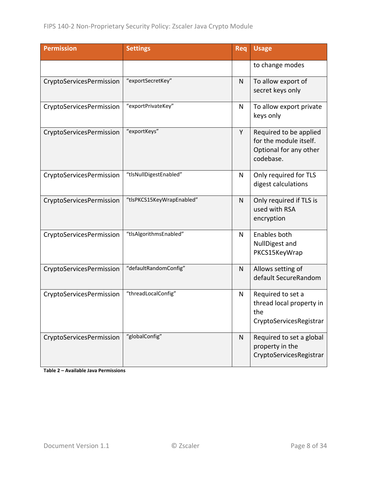| <b>Permission</b>        | <b>Settings</b>           | Req | <b>Usage</b>                                                                            |
|--------------------------|---------------------------|-----|-----------------------------------------------------------------------------------------|
|                          |                           |     | to change modes                                                                         |
| CryptoServicesPermission | "exportSecretKey"         | N   | To allow export of<br>secret keys only                                                  |
| CryptoServicesPermission | "exportPrivateKey"        | N   | To allow export private<br>keys only                                                    |
| CryptoServicesPermission | "exportKeys"              | Y   | Required to be applied<br>for the module itself.<br>Optional for any other<br>codebase. |
| CryptoServicesPermission | "tlsNullDigestEnabled"    | N   | Only required for TLS<br>digest calculations                                            |
| CryptoServicesPermission | "tlsPKCS15KeyWrapEnabled" | N   | Only required if TLS is<br>used with RSA<br>encryption                                  |
| CryptoServicesPermission | "tlsAlgorithmsEnabled"    | N   | Enables both<br>NullDigest and<br>PKCS15KeyWrap                                         |
| CryptoServicesPermission | "defaultRandomConfig"     | N   | Allows setting of<br>default SecureRandom                                               |
| CryptoServicesPermission | "threadLocalConfig"       | N   | Required to set a<br>thread local property in<br>the<br>CryptoServicesRegistrar         |
| CryptoServicesPermission | "globalConfig"            | N   | Required to set a global<br>property in the<br>CryptoServicesRegistrar                  |

<span id="page-7-0"></span>**Table 2 – Available Java Permissions**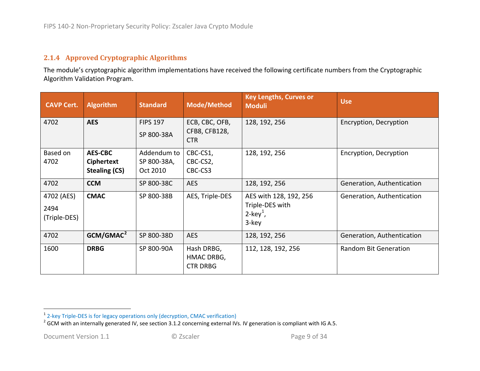#### <span id="page-8-2"></span><span id="page-8-1"></span>**2.1.4 Approved Cryptographic Algorithms**

The module's cryptographic algorithm implementations have received the following certificate numbers from the Cryptographic Algorithm Validation Program.

<span id="page-8-0"></span>

| <b>CAVP Cert.</b>                  | <b>Algorithm</b>                                     | <b>Standard</b>                        | <b>Mode/Method</b>                            | <b>Key Lengths, Curves or</b><br><b>Moduli</b>                                | <b>Use</b>                 |
|------------------------------------|------------------------------------------------------|----------------------------------------|-----------------------------------------------|-------------------------------------------------------------------------------|----------------------------|
| 4702                               | <b>AES</b>                                           | <b>FIPS 197</b><br>SP 800-38A          | ECB, CBC, OFB,<br>CFB8, CFB128,<br><b>CTR</b> | 128, 192, 256                                                                 | Encryption, Decryption     |
| Based on<br>4702                   | <b>AES-CBC</b><br>Ciphertext<br><b>Stealing (CS)</b> | Addendum to<br>SP 800-38A,<br>Oct 2010 | CBC-CS1,<br>CBC-CS2,<br>CBC-CS3               | 128, 192, 256                                                                 | Encryption, Decryption     |
| 4702                               | <b>CCM</b>                                           | SP 800-38C                             | <b>AES</b>                                    | 128, 192, 256                                                                 | Generation, Authentication |
| 4702 (AES)<br>2494<br>(Triple-DES) | <b>CMAC</b>                                          | SP 800-38B                             | AES, Triple-DES                               | AES with 128, 192, 256<br>Triple-DES with<br>$2$ -key <sup>1</sup> ,<br>3-key | Generation, Authentication |
| 4702                               | GCM/GMAC <sup>2</sup>                                | SP 800-38D                             | <b>AES</b>                                    | 128, 192, 256                                                                 | Generation, Authentication |
| 1600                               | <b>DRBG</b>                                          | SP 800-90A                             | Hash DRBG,<br>HMAC DRBG,<br><b>CTR DRBG</b>   | 112, 128, 192, 256                                                            | Random Bit Generation      |

<sup>&</sup>lt;sup>1</sup> 2-key Triple-DES is for legacy operations only (decryption, CMAC verification)<br><sup>2</sup> GCM with an internally generated IV, see section [3.1.2](#page-29-4) concerning external IVs. IV generation is compliant with IG A.5.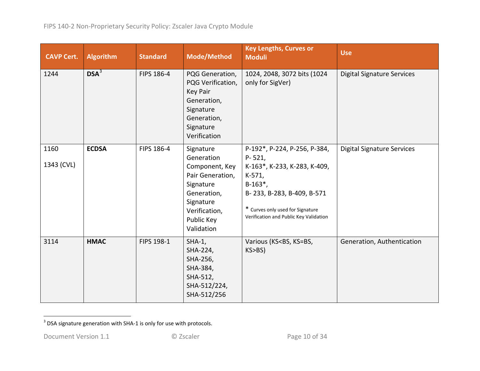<span id="page-9-0"></span>

| <b>CAVP Cert.</b>  | <b>Algorithm</b> | <b>Standard</b> | Mode/Method                                                                                                                                         | <b>Key Lengths, Curves or</b><br><b>Moduli</b>                                                                                                                                                                               | <b>Use</b>                        |
|--------------------|------------------|-----------------|-----------------------------------------------------------------------------------------------------------------------------------------------------|------------------------------------------------------------------------------------------------------------------------------------------------------------------------------------------------------------------------------|-----------------------------------|
| 1244               | DSA <sup>3</sup> | FIPS 186-4      | PQG Generation,<br>PQG Verification,<br><b>Key Pair</b><br>Generation,<br>Signature<br>Generation,<br>Signature<br>Verification                     | 1024, 2048, 3072 bits (1024<br>only for SigVer)                                                                                                                                                                              | <b>Digital Signature Services</b> |
| 1160<br>1343 (CVL) | <b>ECDSA</b>     | FIPS 186-4      | Signature<br>Generation<br>Component, Key<br>Pair Generation,<br>Signature<br>Generation,<br>Signature<br>Verification,<br>Public Key<br>Validation | P-192*, P-224, P-256, P-384,<br>$P - 521,$<br>K-163*, K-233, K-283, K-409,<br>$K-571,$<br>$B-163$ <sup>*</sup> ,<br>B-233, B-283, B-409, B-571<br>* Curves only used for Signature<br>Verification and Public Key Validation | <b>Digital Signature Services</b> |
| 3114               | <b>HMAC</b>      | FIPS 198-1      | $SHA-1$ ,<br>SHA-224,<br>SHA-256,<br>SHA-384,<br>SHA-512,<br>SHA-512/224,<br>SHA-512/256                                                            | Various (KS <bs, ks="BS,&lt;br">KS&gt;BS)</bs,>                                                                                                                                                                              | Generation, Authentication        |

 $3$  DSA signature generation with SHA-1 is only for use with protocols.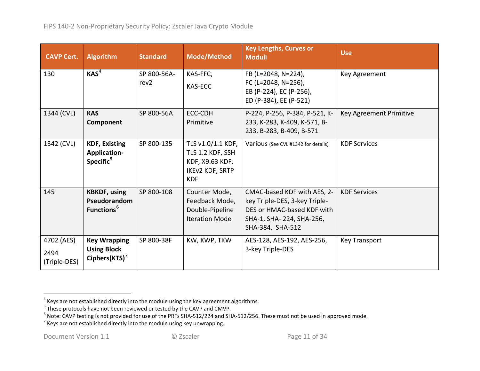<span id="page-10-3"></span><span id="page-10-2"></span><span id="page-10-1"></span><span id="page-10-0"></span>

| <b>CAVP Cert.</b>                  | <b>Algorithm</b>                                              | <b>Standard</b>                 | Mode/Method                                                                               | <b>Key Lengths, Curves or</b><br><b>Moduli</b>                                                                                             | <b>Use</b>              |
|------------------------------------|---------------------------------------------------------------|---------------------------------|-------------------------------------------------------------------------------------------|--------------------------------------------------------------------------------------------------------------------------------------------|-------------------------|
| 130                                | KAS <sup>4</sup>                                              | SP 800-56A-<br>rev <sub>2</sub> | KAS-FFC,<br><b>KAS-ECC</b>                                                                | FB (L=2048, N=224),<br>FC (L=2048, N=256),<br>EB (P-224), EC (P-256),<br>ED (P-384), EE (P-521)                                            | Key Agreement           |
| 1344 (CVL)                         | <b>KAS</b><br>Component                                       | SP 800-56A                      | ECC-CDH<br>Primitive                                                                      | P-224, P-256, P-384, P-521, K-<br>233, K-283, K-409, K-571, B-<br>233, B-283, B-409, B-571                                                 | Key Agreement Primitive |
| 1342 (CVL)                         | <b>KDF, Existing</b><br>Application-<br>Specific <sup>5</sup> | SP 800-135                      | TLS v1.0/1.1 KDF,<br>TLS 1.2 KDF, SSH<br>KDF, X9.63 KDF,<br>IKEv2 KDF, SRTP<br><b>KDF</b> | Various (See CVL #1342 for details)                                                                                                        | <b>KDF Services</b>     |
| 145                                | <b>KBKDF, using</b><br>Pseudorandom<br>Functions <sup>6</sup> | SP 800-108                      | Counter Mode,<br>Feedback Mode,<br>Double-Pipeline<br><b>Iteration Mode</b>               | CMAC-based KDF with AES, 2-<br>key Triple-DES, 3-key Triple-<br>DES or HMAC-based KDF with<br>SHA-1, SHA-224, SHA-256,<br>SHA-384, SHA-512 | <b>KDF Services</b>     |
| 4702 (AES)<br>2494<br>(Triple-DES) | <b>Key Wrapping</b><br><b>Using Block</b><br>Ciphers(KTS) $7$ | SP 800-38F                      | KW, KWP, TKW                                                                              | AES-128, AES-192, AES-256,<br>3-key Triple-DES                                                                                             | <b>Key Transport</b>    |

 $\frac{4}{4}$  Keys are not established directly into the module using the key agreement algorithms.

<sup>&</sup>lt;sup>5</sup> These protocols have not been reviewed or tested by the CAVP and CMVP.<br><sup>6</sup> Note: CAVP testing is not provided for use of the PRFs SHA-512/224 and SHA-512/256. These must not be used in approved mode.<br><sup>7</sup> Keys are not e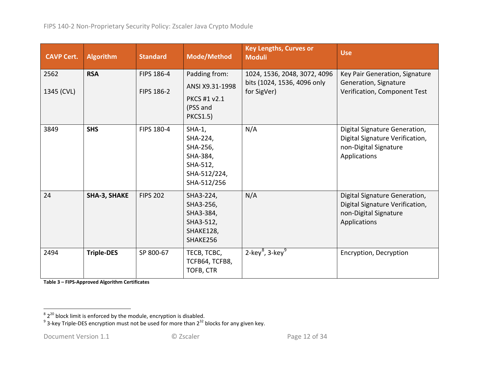<span id="page-11-1"></span><span id="page-11-0"></span>

| <b>CAVP Cert.</b>  | <b>Algorithm</b>    | <b>Standard</b>          | <b>Mode/Method</b>                                                                      | <b>Key Lengths, Curves or</b><br><b>Moduli</b>                             | <b>Use</b>                                                                                                |
|--------------------|---------------------|--------------------------|-----------------------------------------------------------------------------------------|----------------------------------------------------------------------------|-----------------------------------------------------------------------------------------------------------|
| 2562<br>1345 (CVL) | <b>RSA</b>          | FIPS 186-4<br>FIPS 186-2 | Padding from:<br>ANSI X9.31-1998<br>PKCS #1 v2.1<br>(PSS and<br><b>PKCS1.5)</b>         | 1024, 1536, 2048, 3072, 4096<br>bits (1024, 1536, 4096 only<br>for SigVer) | Key Pair Generation, Signature<br>Generation, Signature<br>Verification, Component Test                   |
| 3849               | <b>SHS</b>          | FIPS 180-4               | $SHA-1,$<br>SHA-224,<br>SHA-256,<br>SHA-384,<br>SHA-512,<br>SHA-512/224,<br>SHA-512/256 | N/A                                                                        | Digital Signature Generation,<br>Digital Signature Verification,<br>non-Digital Signature<br>Applications |
| 24                 | <b>SHA-3, SHAKE</b> | <b>FIPS 202</b>          | SHA3-224,<br>SHA3-256,<br>SHA3-384,<br>SHA3-512,<br>SHAKE128,<br>SHAKE256               | N/A                                                                        | Digital Signature Generation,<br>Digital Signature Verification,<br>non-Digital Signature<br>Applications |
| 2494               | <b>Triple-DES</b>   | SP 800-67                | TECB, TCBC,<br>TCFB64, TCFB8,<br>TOFB, CTR                                              | $2$ -key <sup>8</sup> , 3-key <sup>9</sup>                                 | Encryption, Decryption                                                                                    |

**Table 3 – FIPS-Approved Algorithm Certificates**

 $\frac{8}{3}$   $2^{20}$  block limit is enforced by the module, encryption is disabled.<br><sup>9</sup> 3-key Triple-DES encryption must not be used for more than 2<sup>32</sup> blocks for any given key.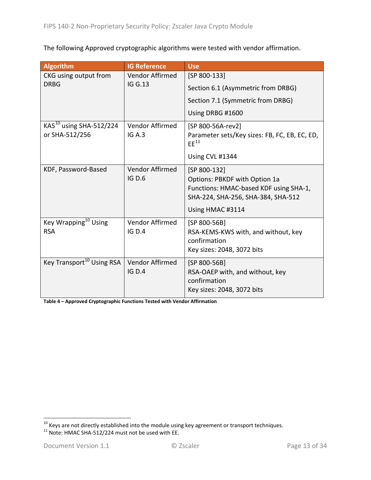The following Approved cryptographic algorithms were tested with vendor affirmation.

| <b>Algorithm</b>                                      | <b>IG Reference</b>              | <b>Use</b>                                                                                                                                               |
|-------------------------------------------------------|----------------------------------|----------------------------------------------------------------------------------------------------------------------------------------------------------|
| CKG using output from                                 | Vendor Affirmed                  | [SP 800-133]                                                                                                                                             |
| <b>DRBG</b>                                           | <b>IG G.13</b>                   | Section 6.1 (Asymmetric from DRBG)                                                                                                                       |
|                                                       |                                  | Section 7.1 (Symmetric from DRBG)                                                                                                                        |
|                                                       |                                  | Using DRBG #1600                                                                                                                                         |
| KAS <sup>10</sup> using SHA-512/224<br>or SHA-512/256 | Vendor Affirmed<br>IG A.3        | [SP 800-56A-rev2]<br>Parameter sets/Key sizes: FB, FC, EB, EC, ED,<br>$EE^{11}$<br>Using CVL #1344                                                       |
| KDF, Password-Based                                   | Vendor Affirmed<br><b>IG D.6</b> | [SP 800-132]<br><b>Options: PBKDF with Option 1a</b><br>Functions: HMAC-based KDF using SHA-1,<br>SHA-224, SHA-256, SHA-384, SHA-512<br>Using HMAC #3114 |
| Key Wrapping <sup>10</sup> Using<br><b>RSA</b>        | Vendor Affirmed<br><b>IG D.4</b> | [SP 800-56B]<br>RSA-KEMS-KWS with, and without, key<br>confirmation<br>Key sizes: 2048, 3072 bits                                                        |
| Key Transport <sup>10</sup> Using RSA                 | Vendor Affirmed<br><b>IG D.4</b> | [SP 800-56B]<br>RSA-OAEP with, and without, key<br>confirmation<br>Key sizes: 2048, 3072 bits                                                            |

**Table 4 – Approved Cryptographic Functions Tested with Vendor Affirmation**

<span id="page-12-1"></span><span id="page-12-0"></span> $\frac{10}{10}$  Keys are not directly established into the module using key agreement or transport techniques.<br><sup>11</sup> Note: HMAC SHA-512/224 must not be used with EE.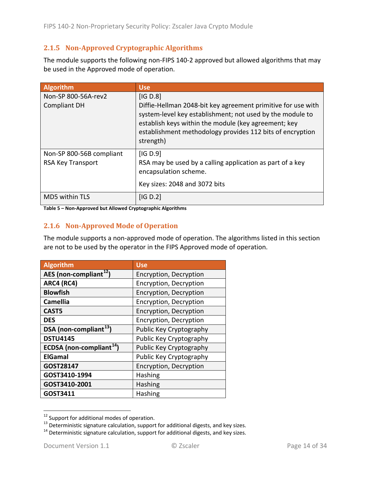### <span id="page-13-0"></span>**2.1.5 Non-Approved Cryptographic Algorithms**

The module supports the following non-FIPS 140-2 approved but allowed algorithms that may be used in the Approved mode of operation.

| <b>Algorithm</b>                           | <b>Use</b>                                                                                                                            |
|--------------------------------------------|---------------------------------------------------------------------------------------------------------------------------------------|
| Non-SP 800-56A-rev2<br><b>Compliant DH</b> | [IG D.8]<br>Diffie-Hellman 2048-bit key agreement primitive for use with<br>system-level key establishment; not used by the module to |
|                                            | establish keys within the module (key agreement; key<br>establishment methodology provides 112 bits of encryption<br>strength)        |
| Non-SP 800-56B compliant                   | [IG D.9]                                                                                                                              |
| <b>RSA Key Transport</b>                   | RSA may be used by a calling application as part of a key<br>encapsulation scheme.                                                    |
|                                            | Key sizes: 2048 and 3072 bits                                                                                                         |
| MD5 within TLS                             | [IG D.2]                                                                                                                              |

<span id="page-13-1"></span>**Table 5 – Non-Approved but Allowed Cryptographic Algorithms**

#### **2.1.6 Non-Approved Mode of Operation**

The module supports a non-approved mode of operation. The algorithms listed in this section are not to be used by the operator in the FIPS Approved mode of operation.

| <b>Algorithm</b>                     | <b>Use</b>              |
|--------------------------------------|-------------------------|
| AES (non-compliant <sup>12</sup> )   | Encryption, Decryption  |
| <b>ARC4 (RC4)</b>                    | Encryption, Decryption  |
| <b>Blowfish</b>                      | Encryption, Decryption  |
| Camellia                             | Encryption, Decryption  |
| CAST5                                | Encryption, Decryption  |
| <b>DES</b>                           | Encryption, Decryption  |
| DSA (non-compliant <sup>13</sup> )   | Public Key Cryptography |
| <b>DSTU4145</b>                      | Public Key Cryptography |
| ECDSA (non-compliant <sup>14</sup> ) | Public Key Cryptography |
| <b>ElGamal</b>                       | Public Key Cryptography |
| GOST28147                            | Encryption, Decryption  |
| GOST3410-1994                        | <b>Hashing</b>          |
| GOST3410-2001                        | <b>Hashing</b>          |
| GOST3411                             | <b>Hashing</b>          |

<span id="page-13-3"></span><span id="page-13-2"></span><sup>&</sup>lt;sup>12</sup> Support for additional modes of operation.<br><sup>13</sup> Deterministic signature calculation, support for additional digests, and key sizes.<br><sup>14</sup> Deterministic signature calculation, support for additional digests, and key si

<span id="page-13-4"></span>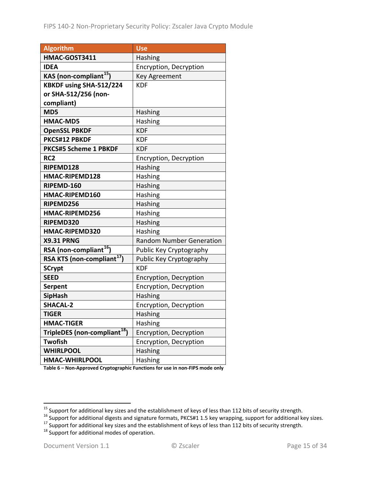| <b>Algorithm</b>                         | <b>Use</b>                      |
|------------------------------------------|---------------------------------|
| HMAC-GOST3411                            | Hashing                         |
| <b>IDEA</b>                              | Encryption, Decryption          |
| KAS (non-compliant <sup>15</sup> )       | <b>Key Agreement</b>            |
| KBKDF using SHA-512/224                  | <b>KDF</b>                      |
| or SHA-512/256 (non-                     |                                 |
| compliant)                               |                                 |
| MD5                                      | Hashing                         |
| <b>HMAC-MD5</b>                          | Hashing                         |
| <b>OpenSSL PBKDF</b>                     | <b>KDF</b>                      |
| PKCS#12 PBKDF                            | <b>KDF</b>                      |
| <b>PKCS#5 Scheme 1 PBKDF</b>             | <b>KDF</b>                      |
| RC <sub>2</sub>                          | Encryption, Decryption          |
| RIPEMD128                                | Hashing                         |
| HMAC-RIPEMD128                           | Hashing                         |
| RIPEMD-160                               | Hashing                         |
| HMAC-RIPEMD160                           | Hashing                         |
| RIPEMD256                                | Hashing                         |
| HMAC-RIPEMD256                           | Hashing                         |
| RIPEMD320                                | Hashing                         |
| HMAC-RIPEMD320                           | Hashing                         |
| <b>X9.31 PRNG</b>                        | <b>Random Number Generation</b> |
| RSA (non-compliant <sup>16</sup> )       | Public Key Cryptography         |
| RSA KTS (non-compliant <sup>17</sup> )   | Public Key Cryptography         |
| <b>SCrypt</b>                            | <b>KDF</b>                      |
| <b>SEED</b>                              | Encryption, Decryption          |
| <b>Serpent</b>                           | Encryption, Decryption          |
| <b>SipHash</b>                           | Hashing                         |
| <b>SHACAL-2</b>                          | Encryption, Decryption          |
| <b>TIGER</b>                             | Hashing                         |
| <b>HMAC-TIGER</b>                        | Hashing                         |
| TripleDES (non-compliant <sup>18</sup> ) | Encryption, Decryption          |
| <b>Twofish</b>                           | Encryption, Decryption          |
| <b>WHIRLPOOL</b>                         | Hashing                         |
| <b>HMAC-WHIRLPOOL</b>                    | Hashing                         |

**Table 6 – Non-Approved Cryptographic Functions for use in non-FIPS mode only**

<span id="page-14-1"></span><span id="page-14-0"></span><sup>&</sup>lt;sup>15</sup> Support for additional key sizes and the establishment of keys of less than 112 bits of security strength.<br><sup>16</sup> Support for additional digests and signature formats, PKCS#1 1.5 key wrapping, support for additional ke

<span id="page-14-2"></span>

<span id="page-14-3"></span>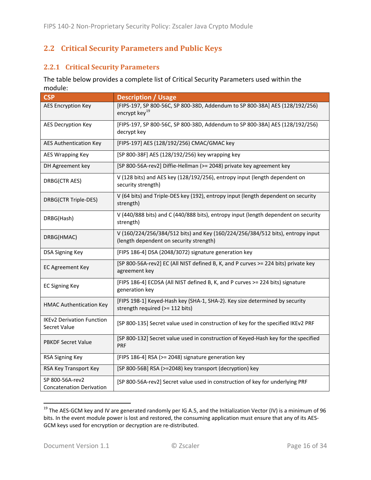## <span id="page-15-0"></span>**2.2 Critical Security Parameters and Public Keys**

### <span id="page-15-1"></span>**2.2.1 Critical Security Parameters**

The table below provides a complete list of Critical Security Parameters used within the module:

| <b>CSP</b>                                         | <b>Description / Usage</b>                                                                                                |
|----------------------------------------------------|---------------------------------------------------------------------------------------------------------------------------|
| <b>AES Encryption Key</b>                          | [FIPS-197, SP 800-56C, SP 800-38D, Addendum to SP 800-38A] AES (128/192/256)<br>encrypt key <sup>19</sup>                 |
| <b>AES Decryption Key</b>                          | [FIPS-197, SP 800-56C, SP 800-38D, Addendum to SP 800-38A] AES (128/192/256)<br>decrypt key                               |
| <b>AES Authentication Key</b>                      | [FIPS-197] AES (128/192/256) CMAC/GMAC key                                                                                |
| <b>AES Wrapping Key</b>                            | [SP 800-38F] AES (128/192/256) key wrapping key                                                                           |
| DH Agreement key                                   | [SP 800-56A-rev2] Diffie-Hellman (>= 2048) private key agreement key                                                      |
| DRBG(CTR AES)                                      | V (128 bits) and AES key (128/192/256), entropy input (length dependent on<br>security strength)                          |
| DRBG(CTR Triple-DES)                               | V (64 bits) and Triple-DES key (192), entropy input (length dependent on security<br>strength)                            |
| DRBG(Hash)                                         | V (440/888 bits) and C (440/888 bits), entropy input (length dependent on security<br>strength)                           |
| DRBG(HMAC)                                         | V (160/224/256/384/512 bits) and Key (160/224/256/384/512 bits), entropy input<br>(length dependent on security strength) |
| <b>DSA Signing Key</b>                             | [FIPS 186-4] DSA (2048/3072) signature generation key                                                                     |
| <b>EC Agreement Key</b>                            | [SP 800-56A-rev2] EC (All NIST defined B, K, and P curves >= 224 bits) private key<br>agreement key                       |
| <b>EC Signing Key</b>                              | [FIPS 186-4] ECDSA (All NIST defined B, K, and P curves >= 224 bits) signature<br>generation key                          |
| <b>HMAC Authentication Key</b>                     | [FIPS 198-1] Keyed-Hash key (SHA-1, SHA-2). Key size determined by security<br>strength required (>= 112 bits)            |
| <b>IKEv2 Derivation Function</b><br>Secret Value   | [SP 800-135] Secret value used in construction of key for the specified IKEv2 PRF                                         |
| PBKDF Secret Value                                 | [SP 800-132] Secret value used in construction of Keyed-Hash key for the specified<br><b>PRF</b>                          |
| RSA Signing Key                                    | [FIPS 186-4] RSA (>= 2048) signature generation key                                                                       |
| RSA Key Transport Key                              | [SP 800-56B] RSA (>=2048) key transport (decryption) key                                                                  |
| SP 800-56A-rev2<br><b>Concatenation Derivation</b> | [SP 800-56A-rev2] Secret value used in construction of key for underlying PRF                                             |

<span id="page-15-2"></span><sup>&</sup>lt;sup>19</sup> The AES-GCM key and IV are generated randomly per IG A.5, and the Initialization Vector (IV) is a minimum of 96 bits. In the event module power is lost and restored, the consuming application must ensure that any of its AES-GCM keys used for encryption or decryption are re-distributed.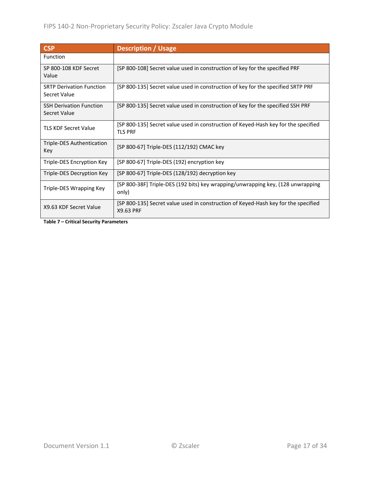| <b>CSP</b>                                            | <b>Description / Usage</b>                                                                           |
|-------------------------------------------------------|------------------------------------------------------------------------------------------------------|
| Function                                              |                                                                                                      |
| SP 800-108 KDF Secret<br>Value                        | [SP 800-108] Secret value used in construction of key for the specified PRF                          |
| <b>SRTP Derivation Function</b><br>Secret Value       | [SP 800-135] Secret value used in construction of key for the specified SRTP PRF                     |
| <b>SSH Derivation Function</b><br><b>Secret Value</b> | [SP 800-135] Secret value used in construction of key for the specified SSH PRF                      |
| <b>TLS KDF Secret Value</b>                           | [SP 800-135] Secret value used in construction of Keyed-Hash key for the specified<br><b>TLS PRF</b> |
| Triple-DES Authentication<br>Key                      | [SP 800-67] Triple-DES (112/192) CMAC key                                                            |
| Triple-DES Encryption Key                             | [SP 800-67] Triple-DES (192) encryption key                                                          |
| Triple-DES Decryption Key                             | [SP 800-67] Triple-DES (128/192) decryption key                                                      |
| Triple-DES Wrapping Key                               | [SP 800-38F] Triple-DES (192 bits) key wrapping/unwrapping key, (128 unwrapping<br>only)             |
| X9.63 KDF Secret Value                                | [SP 800-135] Secret value used in construction of Keyed-Hash key for the specified<br>X9.63 PRF      |

**Table 7 – Critical Security Parameters**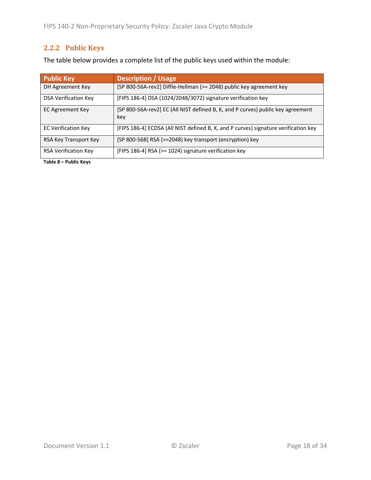## <span id="page-17-0"></span>**2.2.2 Public Keys**

The table below provides a complete list of the public keys used within the module:

| <b>Public Key</b>           | <b>Description / Usage</b>                                                             |
|-----------------------------|----------------------------------------------------------------------------------------|
| DH Agreement Key            | [SP 800-56A-rev2] Diffie-Hellman (>= 2048) public key agreement key                    |
| <b>DSA Verification Key</b> | [FIPS 186-4] DSA (1024/2048/3072) signature verification key                           |
| EC Agreement Key            | [SP 800-56A-rev2] EC (All NIST defined B, K, and P curves) public key agreement<br>key |
| <b>EC Verification Key</b>  | [FIPS 186-4] ECDSA (All NIST defined B, K, and P curves) signature verification key    |
| RSA Key Transport Key       | [SP 800-56B] RSA (>=2048) key transport (encryption) key                               |
| <b>RSA Verification Key</b> | [FIPS 186-4] RSA (>= 1024) signature verification key                                  |

**Table 8 – Public Keys**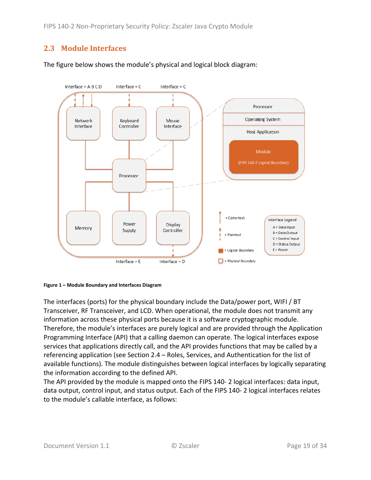FIPS 140-2 Non-Proprietary Security Policy: Zscaler Java Crypto Module

## <span id="page-18-0"></span>**2.3 Module Interfaces**



The figure below shows the module's physical and logical block diagram:

<span id="page-18-1"></span>

The interfaces (ports) for the physical boundary include the Data/power port, WIFI / BT Transceiver, RF Transceiver, and LCD. When operational, the module does not transmit any information across these physical ports because it is a software cryptographic module. Therefore, the module's interfaces are purely logical and are provided through the Application Programming Interface (API) that a calling daemon can operate. The logical interfaces expose services that applications directly call, and the API provides functions that may be called by a referencing application (see Section [2.4](#page-19-0) – [Roles, Services, and Authentication](#page-19-0) for the list of available functions). The module distinguishes between logical interfaces by logically separating the information according to the defined API.

The API provided by the module is mapped onto the FIPS 140- 2 logical interfaces: data input, data output, control input, and status output. Each of the FIPS 140- 2 logical interfaces relates to the module's callable interface, as follows: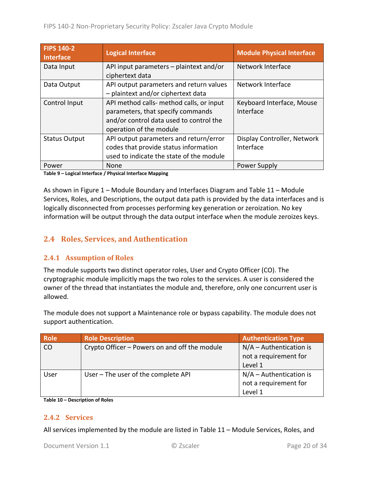| <b>FIPS 140-2</b><br><b>Interface</b> | <b>Logical Interface</b>                                                                                                                            | <b>Module Physical Interface</b>         |
|---------------------------------------|-----------------------------------------------------------------------------------------------------------------------------------------------------|------------------------------------------|
| Data Input                            | API input parameters - plaintext and/or<br>ciphertext data                                                                                          | Network Interface                        |
| Data Output                           | API output parameters and return values<br>- plaintext and/or ciphertext data                                                                       | Network Interface                        |
| Control Input                         | API method calls- method calls, or input<br>parameters, that specify commands<br>and/or control data used to control the<br>operation of the module | Keyboard Interface, Mouse<br>Interface   |
| <b>Status Output</b>                  | API output parameters and return/error<br>codes that provide status information<br>used to indicate the state of the module                         | Display Controller, Network<br>Interface |
| Power                                 | None                                                                                                                                                | Power Supply                             |

**Table 9 – Logical Interface / Physical Interface Mapping**

As shown in Figure 1 – [Module Boundary and Interfaces Diagram](#page-18-1) and [Table 11](#page-21-0) – Module Services, Roles, [and Descriptions,](#page-21-0) the output data path is provided by the data interfaces and is logically disconnected from processes performing key generation or zeroization. No key information will be output through the data output interface when the module zeroizes keys.

### <span id="page-19-0"></span>**2.4 Roles, Services, and Authentication**

#### <span id="page-19-1"></span>**2.4.1 Assumption of Roles**

The module supports two distinct operator roles, User and Crypto Officer (CO). The cryptographic module implicitly maps the two roles to the services. A user is considered the owner of the thread that instantiates the module and, therefore, only one concurrent user is allowed.

The module does not support a Maintenance role or bypass capability. The module does not support authentication.

| <b>Role</b> | <b>Role Description</b>                       | <b>Authentication Type</b> |
|-------------|-----------------------------------------------|----------------------------|
| CO          | Crypto Officer – Powers on and off the module | $N/A -$ Authentication is  |
|             |                                               | not a requirement for      |
|             |                                               | Level 1                    |
| User        | User - The user of the complete API           | $N/A -$ Authentication is  |
|             |                                               | not a requirement for      |
|             |                                               | Level 1                    |

<span id="page-19-2"></span>**Table 10 – Description of Roles**

#### **2.4.2 Services**

All services implemented by the module are listed in Table 11 – Module [Services, Roles,](#page-21-0) and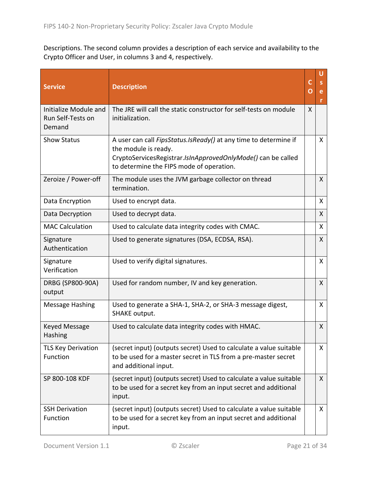[Descriptions.](#page-21-0) The second column provides a description of each service and availability to the Crypto Officer and User, in columns 3 and 4, respectively.

| <b>Service</b>                                       | <b>Description</b>                                                                                                                                                                                          | C<br>O | U<br>e<br>r  |
|------------------------------------------------------|-------------------------------------------------------------------------------------------------------------------------------------------------------------------------------------------------------------|--------|--------------|
| Initialize Module and<br>Run Self-Tests on<br>Demand | The JRE will call the static constructor for self-tests on module<br>initialization.                                                                                                                        | X      |              |
| <b>Show Status</b>                                   | A user can call <i>FipsStatus.IsReady()</i> at any time to determine if<br>the module is ready.<br>CryptoServicesRegistrar.IsInApprovedOnlyMode() can be called<br>to determine the FIPS mode of operation. |        | X            |
| Zeroize / Power-off                                  | The module uses the JVM garbage collector on thread<br>termination.                                                                                                                                         |        | X            |
| Data Encryption                                      | Used to encrypt data.                                                                                                                                                                                       |        | X            |
| Data Decryption                                      | Used to decrypt data.                                                                                                                                                                                       |        | X            |
| <b>MAC Calculation</b>                               | Used to calculate data integrity codes with CMAC.                                                                                                                                                           |        | X            |
| Signature<br>Authentication                          | Used to generate signatures (DSA, ECDSA, RSA).                                                                                                                                                              |        | X.           |
| Signature<br>Verification                            | Used to verify digital signatures.                                                                                                                                                                          |        | X.           |
| DRBG (SP800-90A)<br>output                           | Used for random number, IV and key generation.                                                                                                                                                              |        | X            |
| <b>Message Hashing</b>                               | Used to generate a SHA-1, SHA-2, or SHA-3 message digest,<br>SHAKE output.                                                                                                                                  |        | X            |
| Keyed Message<br>Hashing                             | Used to calculate data integrity codes with HMAC.                                                                                                                                                           |        | X            |
| <b>TLS Key Derivation</b><br>Function                | (secret input) (outputs secret) Used to calculate a value suitable<br>to be used for a master secret in TLS from a pre-master secret<br>and additional input.                                               |        | X            |
| SP 800-108 KDF                                       | (secret input) (outputs secret) Used to calculate a value suitable<br>to be used for a secret key from an input secret and additional<br>input.                                                             |        | $\mathsf{X}$ |
| <b>SSH Derivation</b><br>Function                    | (secret input) (outputs secret) Used to calculate a value suitable<br>to be used for a secret key from an input secret and additional<br>input.                                                             |        | X            |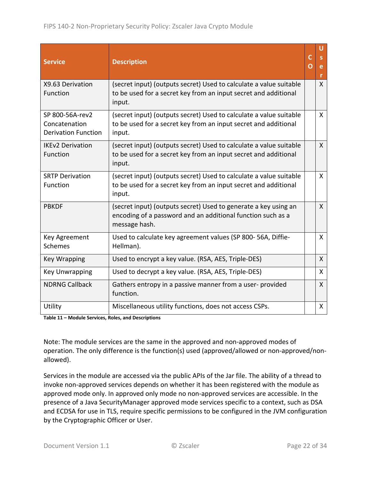| <b>Service</b>                                                 | <b>Description</b>                                                                                                                              | C<br>O | U<br>e<br>r  |
|----------------------------------------------------------------|-------------------------------------------------------------------------------------------------------------------------------------------------|--------|--------------|
| X9.63 Derivation<br>Function                                   | (secret input) (outputs secret) Used to calculate a value suitable<br>to be used for a secret key from an input secret and additional<br>input. |        | $\mathsf{X}$ |
| SP 800-56A-rev2<br>Concatenation<br><b>Derivation Function</b> | (secret input) (outputs secret) Used to calculate a value suitable<br>to be used for a secret key from an input secret and additional<br>input. |        | X            |
| <b>IKEv2 Derivation</b><br>Function                            | (secret input) (outputs secret) Used to calculate a value suitable<br>to be used for a secret key from an input secret and additional<br>input. |        | $\mathsf{X}$ |
| <b>SRTP Derivation</b><br>Function                             | (secret input) (outputs secret) Used to calculate a value suitable<br>to be used for a secret key from an input secret and additional<br>input. |        | X            |
| <b>PBKDF</b>                                                   | (secret input) (outputs secret) Used to generate a key using an<br>encoding of a password and an additional function such as a<br>message hash. |        | $\mathsf{X}$ |
| Key Agreement<br><b>Schemes</b>                                | Used to calculate key agreement values (SP 800-56A, Diffie-<br>Hellman).                                                                        |        | X            |
| <b>Key Wrapping</b>                                            | Used to encrypt a key value. (RSA, AES, Triple-DES)                                                                                             |        | $\mathsf{X}$ |
| <b>Key Unwrapping</b>                                          | Used to decrypt a key value. (RSA, AES, Triple-DES)                                                                                             |        | X            |
| <b>NDRNG Callback</b>                                          | Gathers entropy in a passive manner from a user-provided<br>function.                                                                           |        | X            |
| Utility                                                        | Miscellaneous utility functions, does not access CSPs.                                                                                          |        | X            |

<span id="page-21-0"></span>**Table 11 – Module Services, Roles, and Descriptions**

Note: The module services are the same in the approved and non-approved modes of operation. The only difference is the function(s) used (approved/allowed or non-approved/nonallowed).

Services in the module are accessed via the public APIs of the Jar file. The ability of a thread to invoke non-approved services depends on whether it has been registered with the module as approved mode only. In approved only mode no non-approved services are accessible. In the presence of a Java SecurityManager approved mode services specific to a context, such as DSA and ECDSA for use in TLS, require specific permissions to be configured in the JVM configuration by the Cryptographic Officer or User.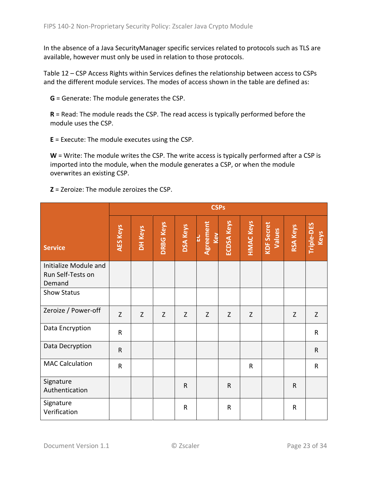In the absence of a Java SecurityManager specific services related to protocols such as TLS are available, however must only be used in relation to those protocols.

Table 12 – [CSP Access Rights within Services](#page-24-2) defines the relationship between access to CSPs and the different module services. The modes of access shown in the table are defined as:

**G** = Generate: The module generates the CSP.

**R** = Read: The module reads the CSP. The read access is typically performed before the module uses the CSP.

**E** = Execute: The module executes using the CSP.

**W** = Write: The module writes the CSP. The write access is typically performed after a CSP is imported into the module, when the module generates a CSP, or when the module overwrites an existing CSP.

**Z** = Zeroize: The module zeroizes the CSP.

|                                                      |                 | <b>CSPs</b> |                  |                 |                         |                   |                  |                             |                 |                    |
|------------------------------------------------------|-----------------|-------------|------------------|-----------------|-------------------------|-------------------|------------------|-----------------------------|-----------------|--------------------|
| <b>Service</b>                                       | <b>AES Keys</b> | DH Keys     | <b>DRBG Keys</b> | <b>DSA Keys</b> | Agreement<br>Kev<br>FC. | <b>ECDSA Keys</b> | <b>HMAC Keys</b> | <b>KDF Secret</b><br>Values | <b>RSA Keys</b> | Triple-DES<br>Keys |
| Initialize Module and<br>Run Self-Tests on<br>Demand |                 |             |                  |                 |                         |                   |                  |                             |                 |                    |
| <b>Show Status</b>                                   |                 |             |                  |                 |                         |                   |                  |                             |                 |                    |
| Zeroize / Power-off                                  | Z               | Z           | Z                | $\mathsf Z$     | Z                       | Z                 | Z                |                             | $\mathsf Z$     | Z                  |
| Data Encryption                                      | $\mathsf{R}$    |             |                  |                 |                         |                   |                  |                             |                 | ${\sf R}$          |
| Data Decryption                                      | $\mathsf{R}$    |             |                  |                 |                         |                   |                  |                             |                 | $\mathsf R$        |
| <b>MAC Calculation</b>                               | $\mathsf R$     |             |                  |                 |                         |                   | $\mathsf R$      |                             |                 | $\mathsf{R}$       |
| Signature<br>Authentication                          |                 |             |                  | $\mathsf R$     |                         | $\mathsf{R}$      |                  |                             | $\mathsf R$     |                    |
| Signature<br>Verification                            |                 |             |                  | R               |                         | $\mathsf{R}$      |                  |                             | $\mathsf R$     |                    |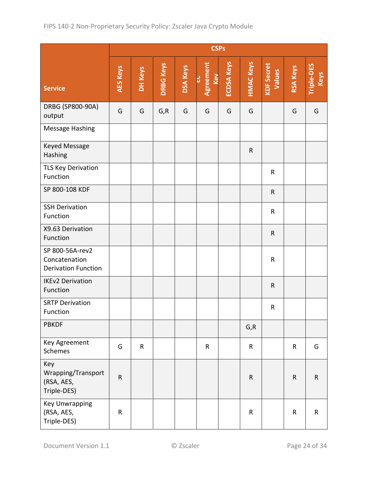|                                                                | <b>CSPs</b>     |              |                  |                 |                               |                   |                  |                             |                 |                    |
|----------------------------------------------------------------|-----------------|--------------|------------------|-----------------|-------------------------------|-------------------|------------------|-----------------------------|-----------------|--------------------|
| <b>Service</b>                                                 | <b>AES Keys</b> | DH Keys      | <b>DRBG Keys</b> | <b>DSA Keys</b> | <b>Agreement</b><br>Kev<br>בט | <b>ECDSA Keys</b> | <b>HMAC Keys</b> | <b>KDF Secret</b><br>Values | <b>RSA Keys</b> | Triple-DES<br>Keys |
| DRBG (SP800-90A)<br>output                                     | G               | G            | G, R             | G               | G                             | G                 | G                |                             | G               | G                  |
| Message Hashing                                                |                 |              |                  |                 |                               |                   |                  |                             |                 |                    |
| Keyed Message<br>Hashing                                       |                 |              |                  |                 |                               |                   | $\mathsf R$      |                             |                 |                    |
| <b>TLS Key Derivation</b><br>Function                          |                 |              |                  |                 |                               |                   |                  | $\mathsf R$                 |                 |                    |
| SP 800-108 KDF                                                 |                 |              |                  |                 |                               |                   |                  | $\mathsf{R}$                |                 |                    |
| <b>SSH Derivation</b><br>Function                              |                 |              |                  |                 |                               |                   |                  | R                           |                 |                    |
| X9.63 Derivation<br>Function                                   |                 |              |                  |                 |                               |                   |                  | ${\sf R}$                   |                 |                    |
| SP 800-56A-rev2<br>Concatenation<br><b>Derivation Function</b> |                 |              |                  |                 |                               |                   |                  | $\sf R$                     |                 |                    |
| <b>IKEv2 Derivation</b><br>Function                            |                 |              |                  |                 |                               |                   |                  | $\mathsf R$                 |                 |                    |
| <b>SRTP Derivation</b><br>Function                             |                 |              |                  |                 |                               |                   |                  | R                           |                 |                    |
| <b>PBKDF</b>                                                   |                 |              |                  |                 |                               |                   | G, R             |                             |                 |                    |
| Key Agreement<br>Schemes                                       | G               | $\mathsf{R}$ |                  |                 | $\mathsf R$                   |                   | $\mathsf{R}$     |                             | $\mathsf R$     | G                  |
| Key<br>Wrapping/Transport<br>(RSA, AES,<br>Triple-DES)         | $\mathsf R$     |              |                  |                 |                               |                   | $\mathsf R$      |                             | $\mathsf{R}$    | $\mathsf R$        |
| <b>Key Unwrapping</b><br>(RSA, AES,<br>Triple-DES)             | ${\sf R}$       |              |                  |                 |                               |                   | $\mathsf R$      |                             | $\mathsf R$     | ${\sf R}$          |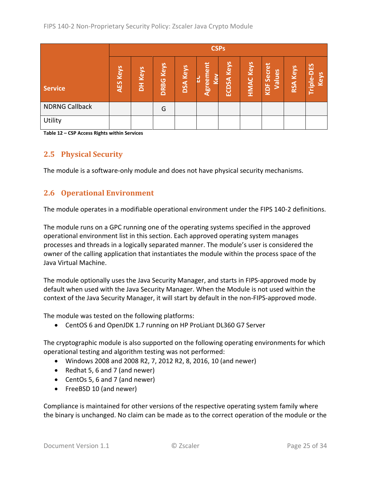|                       |                 | <b>CSPs</b> |                     |                    |                  |               |                  |                                    |                    |                    |
|-----------------------|-----------------|-------------|---------------------|--------------------|------------------|---------------|------------------|------------------------------------|--------------------|--------------------|
| <b>Service</b>        | <b>AES Keys</b> | DH Keys     | Keys<br><b>DRBG</b> | Keys<br><b>DSA</b> | Agreement<br>Kev | Keys<br>ECDSA | <b>HMAC Keys</b> | Secret<br><b>Values</b><br>ய<br>ΙŠ | Keys<br><b>RSA</b> | Triple-DES<br>Keys |
| <b>NDRNG Callback</b> |                 |             | G                   |                    |                  |               |                  |                                    |                    |                    |
| Utility               |                 |             |                     |                    |                  |               |                  |                                    |                    |                    |

<span id="page-24-2"></span><span id="page-24-0"></span>**Table 12 – CSP Access Rights within Services**

## **2.5 Physical Security**

<span id="page-24-1"></span>The module is a software-only module and does not have physical security mechanisms.

### **2.6 Operational Environment**

The module operates in a modifiable operational environment under the FIPS 140-2 definitions.

The module runs on a GPC running one of the operating systems specified in the approved operational environment list in this section. Each approved operating system manages processes and threads in a logically separated manner. The module's user is considered the owner of the calling application that instantiates the module within the process space of the Java Virtual Machine.

The module optionally uses the Java Security Manager, and starts in FIPS-approved mode by default when used with the Java Security Manager. When the Module is not used within the context of the Java Security Manager, it will start by default in the non-FIPS-approved mode.

The module was tested on the following platforms:

• CentOS 6 and OpenJDK 1.7 running on HP ProLiant DL360 G7 Server

The cryptographic module is also supported on the following operating environments for which operational testing and algorithm testing was not performed:

- Windows 2008 and 2008 R2, 7, 2012 R2, 8, 2016, 10 (and newer)
- Redhat 5, 6 and 7 (and newer)
- CentOs 5, 6 and 7 (and newer)
- FreeBSD 10 (and newer)

Compliance is maintained for other versions of the respective operating system family where the binary is unchanged. No claim can be made as to the correct operation of the module or the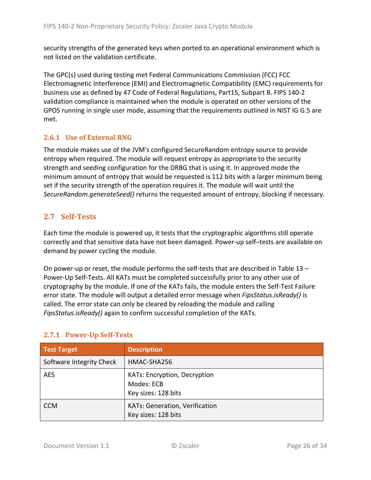security strengths of the generated keys when ported to an operational environment which is not listed on the validation certificate.

The GPC(s) used during testing met Federal Communications Commission (FCC) FCC Electromagnetic Interference (EMI) and Electromagnetic Compatibility (EMC) requirements for business use as defined by 47 Code of Federal Regulations, Part15, Subpart B. FIPS 140-2 validation compliance is maintained when the module is operated on other versions of the GPOS running in single user mode, assuming that the requirements outlined in NIST IG G.5 are met.

### <span id="page-25-0"></span>**2.6.1 Use of External RNG**

The module makes use of the JVM's configured SecureRandom entropy source to provide entropy when required. The module will request entropy as appropriate to the security strength and seeding configuration for the DRBG that is using it. In approved mode the minimum amount of entropy that would be requested is 112 bits with a larger minimum being set if the security strength of the operation requires it. The module will wait until the *SecureRandom.generateSeed()* returns the requested amount of entropy, blocking if necessary.

## <span id="page-25-1"></span>**2.7 Self-Tests**

Each time the module is powered up, it tests that the cryptographic algorithms still operate correctly and that sensitive data have not been damaged. Power-up self–tests are available on demand by power cycling the module.

On power-up or reset, the module performs the self-tests that are described in [Table 13](#page-26-0) – [Power-Up Self-Tests.](#page-26-0) All KATs must be completed successfully prior to any other use of cryptography by the module. If one of the KATs fails, the module enters the Self-Test Failure error state. The module will output a detailed error message when *FipsStatus.isReady()* is called. The error state can only be cleared by reloading the module and calling *FipsStatus.isReady()* again to confirm successful completion of the KATs.

| <b>Test Target</b>       | <b>Description</b>                                                |
|--------------------------|-------------------------------------------------------------------|
| Software Integrity Check | HMAC-SHA256                                                       |
| <b>AES</b>               | KATs: Encryption, Decryption<br>Modes: ECB<br>Key sizes: 128 bits |
| <b>CCM</b>               | <b>KATs: Generation, Verification</b><br>Key sizes: 128 bits      |

## <span id="page-25-2"></span>**2.7.1 Power-Up Self-Tests**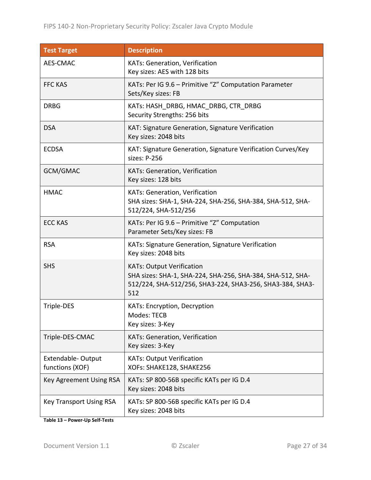| <b>Test Target</b>                   | <b>Description</b>                                                                                                                                                 |
|--------------------------------------|--------------------------------------------------------------------------------------------------------------------------------------------------------------------|
| AES-CMAC                             | KATs: Generation, Verification<br>Key sizes: AES with 128 bits                                                                                                     |
| <b>FFC KAS</b>                       | KATs: Per IG 9.6 - Primitive "Z" Computation Parameter<br>Sets/Key sizes: FB                                                                                       |
| <b>DRBG</b>                          | KATs: HASH DRBG, HMAC DRBG, CTR DRBG<br>Security Strengths: 256 bits                                                                                               |
| <b>DSA</b>                           | KAT: Signature Generation, Signature Verification<br>Key sizes: 2048 bits                                                                                          |
| <b>ECDSA</b>                         | KAT: Signature Generation, Signature Verification Curves/Key<br>sizes: P-256                                                                                       |
| GCM/GMAC                             | KATs: Generation, Verification<br>Key sizes: 128 bits                                                                                                              |
| <b>HMAC</b>                          | KATs: Generation, Verification<br>SHA sizes: SHA-1, SHA-224, SHA-256, SHA-384, SHA-512, SHA-<br>512/224, SHA-512/256                                               |
| <b>ECC KAS</b>                       | KATs: Per IG 9.6 - Primitive "Z" Computation<br>Parameter Sets/Key sizes: FB                                                                                       |
| <b>RSA</b>                           | KATs: Signature Generation, Signature Verification<br>Key sizes: 2048 bits                                                                                         |
| <b>SHS</b>                           | <b>KATs: Output Verification</b><br>SHA sizes: SHA-1, SHA-224, SHA-256, SHA-384, SHA-512, SHA-<br>512/224, SHA-512/256, SHA3-224, SHA3-256, SHA3-384, SHA3-<br>512 |
| Triple-DES                           | <b>KATs: Encryption, Decryption</b><br>Modes: TECB<br>Key sizes: 3-Key                                                                                             |
| Triple-DES-CMAC                      | KATs: Generation, Verification<br>Key sizes: 3-Key                                                                                                                 |
| Extendable-Output<br>functions (XOF) | <b>KATs: Output Verification</b><br>XOFs: SHAKE128, SHAKE256                                                                                                       |
| Key Agreement Using RSA              | KATs: SP 800-56B specific KATs per IG D.4<br>Key sizes: 2048 bits                                                                                                  |
| <b>Key Transport Using RSA</b>       | KATs: SP 800-56B specific KATs per IG D.4<br>Key sizes: 2048 bits                                                                                                  |

<span id="page-26-0"></span>**Table 13 – Power-Up Self-Tests**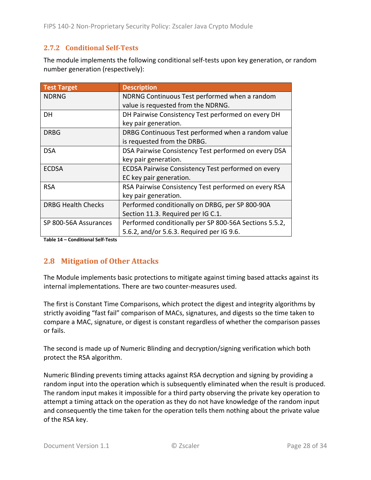### <span id="page-27-0"></span>**2.7.2 Conditional Self-Tests**

The module implements the following conditional self-tests upon key generation, or random number generation (respectively):

| <b>Test Target</b>        | <b>Description</b>                                     |
|---------------------------|--------------------------------------------------------|
| <b>NDRNG</b>              | NDRNG Continuous Test performed when a random          |
|                           | value is requested from the NDRNG.                     |
| DH                        | DH Pairwise Consistency Test performed on every DH     |
|                           | key pair generation.                                   |
| <b>DRBG</b>               | DRBG Continuous Test performed when a random value     |
|                           | is requested from the DRBG.                            |
| <b>DSA</b>                | DSA Pairwise Consistency Test performed on every DSA   |
|                           | key pair generation.                                   |
| <b>ECDSA</b>              | ECDSA Pairwise Consistency Test performed on every     |
|                           | EC key pair generation.                                |
| <b>RSA</b>                | RSA Pairwise Consistency Test performed on every RSA   |
|                           | key pair generation.                                   |
| <b>DRBG Health Checks</b> | Performed conditionally on DRBG, per SP 800-90A        |
|                           | Section 11.3. Required per IG C.1.                     |
| SP 800-56A Assurances     | Performed conditionally per SP 800-56A Sections 5.5.2, |
|                           | 5.6.2, and/or 5.6.3. Required per IG 9.6.              |

<span id="page-27-1"></span>**Table 14 – Conditional Self-Tests**

## **2.8 Mitigation of Other Attacks**

The Module implements basic protections to mitigate against timing based attacks against its internal implementations. There are two counter-measures used.

The first is Constant Time Comparisons, which protect the digest and integrity algorithms by strictly avoiding "fast fail" comparison of MACs, signatures, and digests so the time taken to compare a MAC, signature, or digest is constant regardless of whether the comparison passes or fails.

The second is made up of Numeric Blinding and decryption/signing verification which both protect the RSA algorithm.

Numeric Blinding prevents timing attacks against RSA decryption and signing by providing a random input into the operation which is subsequently eliminated when the result is produced. The random input makes it impossible for a third party observing the private key operation to attempt a timing attack on the operation as they do not have knowledge of the random input and consequently the time taken for the operation tells them nothing about the private value of the RSA key.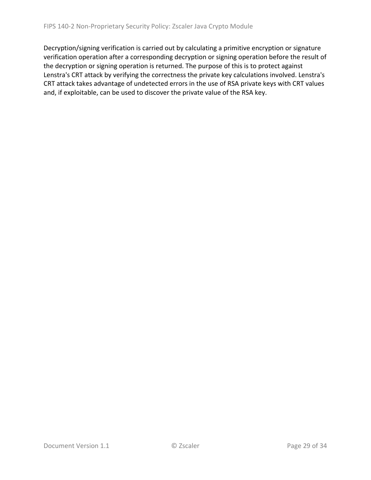Decryption/signing verification is carried out by calculating a primitive encryption or signature verification operation after a corresponding decryption or signing operation before the result of the decryption or signing operation is returned. The purpose of this is to protect against Lenstra's CRT attack by verifying the correctness the private key calculations involved. Lenstra's CRT attack takes advantage of undetected errors in the use of RSA private keys with CRT values and, if exploitable, can be used to discover the private value of the RSA key.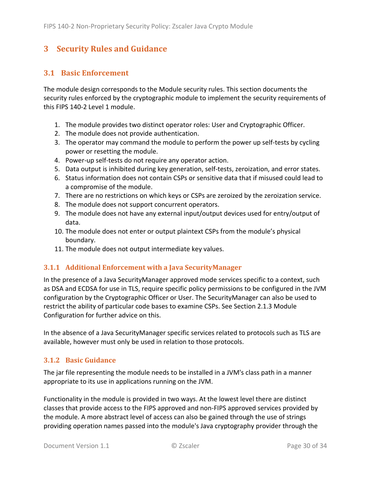# <span id="page-29-0"></span>**3 Security Rules and Guidance**

### <span id="page-29-1"></span>**3.1 Basic Enforcement**

The module design corresponds to the Module security rules. This section documents the security rules enforced by the cryptographic module to implement the security requirements of this FIPS 140-2 Level 1 module.

- 1. The module provides two distinct operator roles: User and Cryptographic Officer.
- 2. The module does not provide authentication.
- 3. The operator may command the module to perform the power up self-tests by cycling power or resetting the module.
- 4. Power-up self-tests do not require any operator action.
- 5. Data output is inhibited during key generation, self-tests, zeroization, and error states.
- 6. Status information does not contain CSPs or sensitive data that if misused could lead to a compromise of the module.
- 7. There are no restrictions on which keys or CSPs are zeroized by the zeroization service.
- 8. The module does not support concurrent operators.
- 9. The module does not have any external input/output devices used for entry/output of data.
- 10. The module does not enter or output plaintext CSPs from the module's physical boundary.
- <span id="page-29-4"></span>11. The module does not output intermediate key values.

#### <span id="page-29-2"></span>**3.1.1 Additional Enforcement with a Java SecurityManager**

In the presence of a Java SecurityManager approved mode services specific to a context, such as DSA and ECDSA for use in TLS, require specific policy permissions to be configured in the JVM configuration by the Cryptographic Officer or User. The SecurityManager can also be used to restrict the ability of particular code bases to examine CSPs. See Section [2.1.3](#page-6-0) Module Configuration for further advice on this.

In the absence of a Java SecurityManager specific services related to protocols such as TLS are available, however must only be used in relation to those protocols.

#### <span id="page-29-3"></span>**3.1.2 Basic Guidance**

The jar file representing the module needs to be installed in a JVM's class path in a manner appropriate to its use in applications running on the JVM.

Functionality in the module is provided in two ways. At the lowest level there are distinct classes that provide access to the FIPS approved and non-FIPS approved services provided by the module. A more abstract level of access can also be gained through the use of strings providing operation names passed into the module's Java cryptography provider through the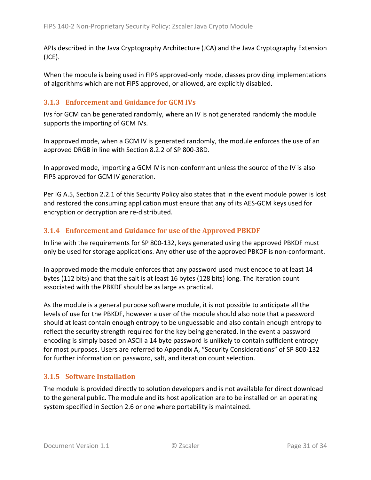APIs described in the Java Cryptography Architecture (JCA) and the Java Cryptography Extension (JCE).

When the module is being used in FIPS approved-only mode, classes providing implementations of algorithms which are not FIPS approved, or allowed, are explicitly disabled.

#### <span id="page-30-0"></span>**3.1.3 Enforcement and Guidance for GCM IVs**

IVs for GCM can be generated randomly, where an IV is not generated randomly the module supports the importing of GCM IVs.

In approved mode, when a GCM IV is generated randomly, the module enforces the use of an approved DRGB in line with Section 8.2.2 of SP 800-38D.

In approved mode, importing a GCM IV is non-conformant unless the source of the IV is also FIPS approved for GCM IV generation.

Per IG A.5, Section [2.2.1](#page-15-1) of this Security Policy also states that in the event module power is lost and restored the consuming application must ensure that any of its AES-GCM keys used for encryption or decryption are re-distributed.

#### <span id="page-30-1"></span>**3.1.4 Enforcement and Guidance for use of the Approved PBKDF**

In line with the requirements for SP 800-132, keys generated using the approved PBKDF must only be used for storage applications. Any other use of the approved PBKDF is non-conformant.

In approved mode the module enforces that any password used must encode to at least 14 bytes (112 bits) and that the salt is at least 16 bytes (128 bits) long. The iteration count associated with the PBKDF should be as large as practical.

As the module is a general purpose software module, it is not possible to anticipate all the levels of use for the PBKDF, however a user of the module should also note that a password should at least contain enough entropy to be unguessable and also contain enough entropy to reflect the security strength required for the key being generated. In the event a password encoding is simply based on ASCII a 14 byte password is unlikely to contain sufficient entropy for most purposes. Users are referred to Appendix A, "Security Considerations" of SP 800-132 for further information on password, salt, and iteration count selection.

#### <span id="page-30-2"></span>**3.1.5 Software Installation**

The module is provided directly to solution developers and is not available for direct download to the general public. The module and its host application are to be installed on an operating system specified in Section [2.6](#page-24-1) or one where portability is maintained.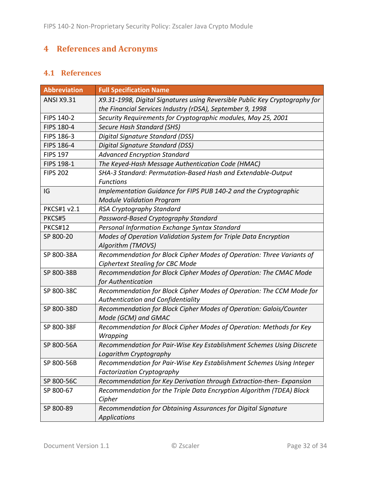# <span id="page-31-0"></span>**4 References and Acronyms**

## <span id="page-31-1"></span>**4.1 References**

| <b>Abbreviation</b> | <b>Full Specification Name</b>                                                                                                           |
|---------------------|------------------------------------------------------------------------------------------------------------------------------------------|
| <b>ANSI X9.31</b>   | X9.31-1998, Digital Signatures using Reversible Public Key Cryptography for<br>the Financial Services Industry (rDSA), September 9, 1998 |
| FIPS 140-2          | Security Requirements for Cryptographic modules, May 25, 2001                                                                            |
| FIPS 180-4          | Secure Hash Standard (SHS)                                                                                                               |
| FIPS 186-3          | Digital Signature Standard (DSS)                                                                                                         |
| FIPS 186-4          | Digital Signature Standard (DSS)                                                                                                         |
| <b>FIPS 197</b>     | <b>Advanced Encryption Standard</b>                                                                                                      |
| <b>FIPS 198-1</b>   | The Keyed-Hash Message Authentication Code (HMAC)                                                                                        |
| <b>FIPS 202</b>     | SHA-3 Standard: Permutation-Based Hash and Extendable-Output<br><b>Functions</b>                                                         |
| IG                  | Implementation Guidance for FIPS PUB 140-2 and the Cryptographic<br><b>Module Validation Program</b>                                     |
| <b>PKCS#1 v2.1</b>  | RSA Cryptography Standard                                                                                                                |
| PKCS#5              | Password-Based Cryptography Standard                                                                                                     |
| <b>PKCS#12</b>      | Personal Information Exchange Syntax Standard                                                                                            |
| SP 800-20           | Modes of Operation Validation System for Triple Data Encryption<br>Algorithm (TMOVS)                                                     |
| SP 800-38A          | Recommendation for Block Cipher Modes of Operation: Three Variants of<br><b>Ciphertext Stealing for CBC Mode</b>                         |
| SP 800-38B          | Recommendation for Block Cipher Modes of Operation: The CMAC Mode<br>for Authentication                                                  |
| SP 800-38C          | Recommendation for Block Cipher Modes of Operation: The CCM Mode for<br>Authentication and Confidentiality                               |
| SP 800-38D          | Recommendation for Block Cipher Modes of Operation: Galois/Counter<br>Mode (GCM) and GMAC                                                |
| SP 800-38F          | Recommendation for Block Cipher Modes of Operation: Methods for Key<br>Wrapping                                                          |
| SP 800-56A          | Recommendation for Pair-Wise Key Establishment Schemes Using Discrete<br>Logarithm Cryptography                                          |
| SP 800-56B          | Recommendation for Pair-Wise Key Establishment Schemes Using Integer<br><b>Factorization Cryptography</b>                                |
| SP 800-56C          | Recommendation for Key Derivation through Extraction-then- Expansion                                                                     |
| SP 800-67           | Recommendation for the Triple Data Encryption Algorithm (TDEA) Block<br>Cipher                                                           |
| SP 800-89           | Recommendation for Obtaining Assurances for Digital Signature<br><b>Applications</b>                                                     |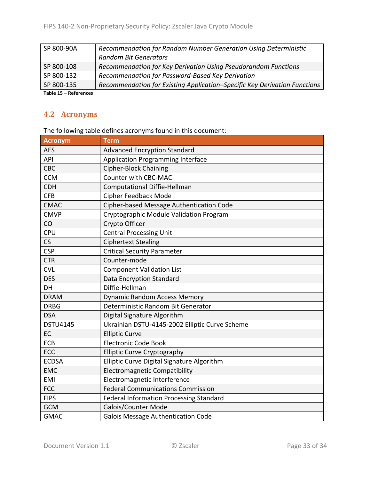| SP 800-90A         | Recommendation for Random Number Generation Using Deterministic           |
|--------------------|---------------------------------------------------------------------------|
|                    | <b>Random Bit Generators</b>                                              |
| SP 800-108         | Recommendation for Key Derivation Using Pseudorandom Functions            |
| SP 800-132         | Recommendation for Password-Based Key Derivation                          |
| SP 800-135         | Recommendation for Existing Application-Specific Key Derivation Functions |
| 美しんしょ イモー・ハンチ・ショット |                                                                           |

<span id="page-32-0"></span>**Table 15 – References**

### **4.2 Acronyms**

The following table defines acronyms found in this document:

| <b>Acronym</b>  | <b>Term</b>                                    |
|-----------------|------------------------------------------------|
| <b>AES</b>      | <b>Advanced Encryption Standard</b>            |
| API             | <b>Application Programming Interface</b>       |
| CBC             | <b>Cipher-Block Chaining</b>                   |
| <b>CCM</b>      | <b>Counter with CBC-MAC</b>                    |
| <b>CDH</b>      | <b>Computational Diffie-Hellman</b>            |
| <b>CFB</b>      | Cipher Feedback Mode                           |
| <b>CMAC</b>     | Cipher-based Message Authentication Code       |
| <b>CMVP</b>     | Cryptographic Module Validation Program        |
| CO              | Crypto Officer                                 |
| <b>CPU</b>      | <b>Central Processing Unit</b>                 |
| CS              | <b>Ciphertext Stealing</b>                     |
| <b>CSP</b>      | <b>Critical Security Parameter</b>             |
| <b>CTR</b>      | Counter-mode                                   |
| <b>CVL</b>      | <b>Component Validation List</b>               |
| <b>DES</b>      | Data Encryption Standard                       |
| DH              | Diffie-Hellman                                 |
| <b>DRAM</b>     | <b>Dynamic Random Access Memory</b>            |
| <b>DRBG</b>     | Deterministic Random Bit Generator             |
| <b>DSA</b>      | Digital Signature Algorithm                    |
| <b>DSTU4145</b> | Ukrainian DSTU-4145-2002 Elliptic Curve Scheme |
| EC              | <b>Elliptic Curve</b>                          |
| <b>ECB</b>      | <b>Electronic Code Book</b>                    |
| ECC             | <b>Elliptic Curve Cryptography</b>             |
| <b>ECDSA</b>    | Elliptic Curve Digital Signature Algorithm     |
| <b>EMC</b>      | <b>Electromagnetic Compatibility</b>           |
| <b>EMI</b>      | Electromagnetic Interference                   |
| <b>FCC</b>      | <b>Federal Communications Commission</b>       |
| <b>FIPS</b>     | <b>Federal Information Processing Standard</b> |
| <b>GCM</b>      | Galois/Counter Mode                            |
| <b>GMAC</b>     | <b>Galois Message Authentication Code</b>      |